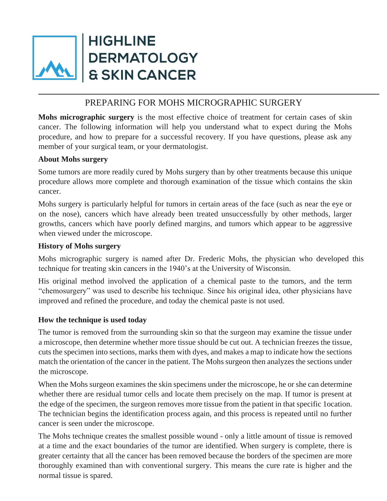

**HIGHLINE DERMATOLOGY & SKIN CANCER** 

# PREPARING FOR MOHS MICROGRAPHIC SURGERY

**Mohs micrographic surgery** is the most effective choice of treatment for certain cases of skin cancer. The following information will help you understand what to expect during the Mohs procedure, and how to prepare for a successful recovery. If you have questions, please ask any member of your surgical team, or your dermatologist.

#### **About Mohs surgery**

Some tumors are more readily cured by Mohs surgery than by other treatments because this unique procedure allows more complete and thorough examination of the tissue which contains the skin cancer.

Mohs surgery is particularly helpful for tumors in certain areas of the face (such as near the eye or on the nose), cancers which have already been treated unsuccessfully by other methods, larger growths, cancers which have poorly defined margins, and tumors which appear to be aggressive when viewed under the microscope.

#### **History of Mohs surgery**

Mohs micrographic surgery is named after Dr. Frederic Mohs, the physician who developed this technique for treating skin cancers in the 1940's at the University of Wisconsin.

His original method involved the application of a chemical paste to the tumors, and the term "chemosurgery" was used to describe his technique. Since his original idea, other physicians have improved and refined the procedure, and today the chemical paste is not used.

## **How the technique is used today**

The tumor is removed from the surrounding skin so that the surgeon may examine the tissue under a microscope, then determine whether more tissue should be cut out. A technician freezes the tissue, cuts the specimen into sections, marks them with dyes, and makes a map to indicate how the sections match the orientation of the cancer in the patient. The Mohs surgeon then analyzes the sections under the microscope.

When the Mohs surgeon examines the skin specimens under the microscope, he or she can determine whether there are residual tumor cells and locate them precisely on the map. If tumor is present at the edge of the specimen, the surgeon removes more tissue from the patient in that specific 1ocation. The technician begins the identification process again, and this process is repeated until no further cancer is seen under the microscope.

The Mohs technique creates the smallest possible wound - only a little amount of tissue is removed at a time and the exact boundaries of the tumor are identified. When surgery is complete, there is greater certainty that all the cancer has been removed because the borders of the specimen are more thoroughly examined than with conventional surgery. This means the cure rate is higher and the normal tissue is spared.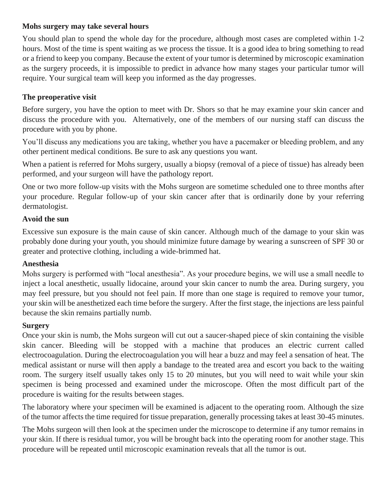## **Mohs surgery may take several hours**

You should plan to spend the whole day for the procedure, although most cases are completed within 1-2 hours. Most of the time is spent waiting as we process the tissue. It is a good idea to bring something to read or a friend to keep you company. Because the extent of your tumor is determined by microscopic examination as the surgery proceeds, it is impossible to predict in advance how many stages your particular tumor will require. Your surgical team will keep you informed as the day progresses.

### **The preoperative visit**

Before surgery, you have the option to meet with Dr. Shors so that he may examine your skin cancer and discuss the procedure with you. Alternatively, one of the members of our nursing staff can discuss the procedure with you by phone.

You'll discuss any medications you are taking, whether you have a pacemaker or bleeding problem, and any other pertinent medical conditions. Be sure to ask any questions you want.

When a patient is referred for Mohs surgery, usually a biopsy (removal of a piece of tissue) has already been performed, and your surgeon will have the pathology report.

One or two more follow-up visits with the Mohs surgeon are sometime scheduled one to three months after your procedure. Regular follow-up of your skin cancer after that is ordinarily done by your referring dermatologist.

#### **Avoid the sun**

Excessive sun exposure is the main cause of skin cancer. Although much of the damage to your skin was probably done during your youth, you should minimize future damage by wearing a sunscreen of SPF 30 or greater and protective clothing, including a wide-brimmed hat.

#### **Anesthesia**

Mohs surgery is performed with "local anesthesia". As your procedure begins, we will use a small needle to inject a local anesthetic, usually lidocaine, around your skin cancer to numb the area. During surgery, you may feel pressure, but you should not feel pain. If more than one stage is required to remove your tumor, your skin will be anesthetized each time before the surgery. After the first stage, the injections are less painful because the skin remains partially numb.

## **Surgery**

Once your skin is numb, the Mohs surgeon will cut out a saucer-shaped piece of skin containing the visible skin cancer. Bleeding will be stopped with a machine that produces an electric current called electrocoagulation. During the electrocoagulation you will hear a buzz and may feel a sensation of heat. The medical assistant or nurse will then apply a bandage to the treated area and escort you back to the waiting room. The surgery itself usually takes only 15 to 20 minutes, but you will need to wait while your skin specimen is being processed and examined under the microscope. Often the most difficult part of the procedure is waiting for the results between stages.

The laboratory where your specimen will be examined is adjacent to the operating room. Although the size of the tumor affects the time required for tissue preparation, generally processing takes at least 30-45 minutes.

The Mohs surgeon will then look at the specimen under the microscope to determine if any tumor remains in your skin. If there is residual tumor, you will be brought back into the operating room for another stage. This procedure will be repeated until microscopic examination reveals that all the tumor is out.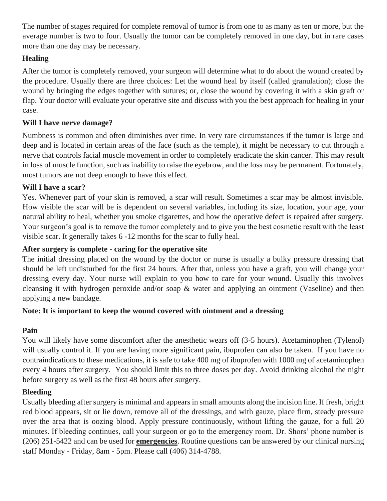The number of stages required for complete removal of tumor is from one to as many as ten or more, but the average number is two to four. Usually the tumor can be completely removed in one day, but in rare cases more than one day may be necessary.

## **Healing**

After the tumor is completely removed, your surgeon will determine what to do about the wound created by the procedure. Usually there are three choices: Let the wound heal by itself (called granulation); close the wound by bringing the edges together with sutures; or, close the wound by covering it with a skin graft or flap. Your doctor will evaluate your operative site and discuss with you the best approach for healing in your case.

### **Will I have nerve damage?**

Numbness is common and often diminishes over time. In very rare circumstances if the tumor is large and deep and is located in certain areas of the face (such as the temple), it might be necessary to cut through a nerve that controls facial muscle movement in order to completely eradicate the skin cancer. This may result in loss of muscle function, such as inability to raise the eyebrow, and the loss may be permanent. Fortunately, most tumors are not deep enough to have this effect.

#### **Will I have a scar?**

Yes. Whenever part of your skin is removed, a scar will result. Sometimes a scar may be almost invisible. How visible the scar will be is dependent on several variables, including its size, location, your age, your natural ability to heal, whether you smoke cigarettes, and how the operative defect is repaired after surgery. Your surgeon's goal is to remove the tumor completely and to give you the best cosmetic result with the least visible scar. It generally takes 6 -12 months for the scar to fully heal.

### **After surgery is complete - caring for the operative site**

The initial dressing placed on the wound by the doctor or nurse is usually a bulky pressure dressing that should be left undisturbed for the first 24 hours. After that, unless you have a graft, you will change your dressing every day. Your nurse will explain to you how to care for your wound. Usually this involves cleansing it with hydrogen peroxide and/or soap & water and applying an ointment (Vaseline) and then applying a new bandage.

## **Note: It is important to keep the wound covered with ointment and a dressing**

## **Pain**

You will likely have some discomfort after the anesthetic wears off (3-5 hours). Acetaminophen (Tylenol) will usually control it. If you are having more significant pain, ibuprofen can also be taken. If you have no contraindications to these medications, it is safe to take 400 mg of ibuprofen with 1000 mg of acetaminophen every 4 hours after surgery. You should limit this to three doses per day. Avoid drinking alcohol the night before surgery as well as the first 48 hours after surgery.

#### **Bleeding**

Usually bleeding after surgery is minimal and appears in small amounts along the incision line. If fresh, bright red blood appears, sit or lie down, remove all of the dressings, and with gauze, place firm, steady pressure over the area that is oozing blood. Apply pressure continuously, without lifting the gauze, for a full 20 minutes. If bleeding continues, call your surgeon or go to the emergency room. Dr. Shors' phone number is (206) 251-5422 and can be used for **emergencies**. Routine questions can be answered by our clinical nursing staff Monday - Friday, 8am - 5pm. Please call (406) 314-4788.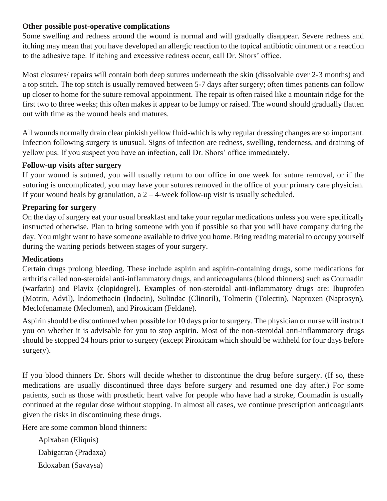#### **Other possible post-operative complications**

Some swelling and redness around the wound is normal and will gradually disappear. Severe redness and itching may mean that you have developed an allergic reaction to the topical antibiotic ointment or a reaction to the adhesive tape. If itching and excessive redness occur, call Dr. Shors' office.

Most closures/ repairs will contain both deep sutures underneath the skin (dissolvable over 2-3 months) and a top stitch. The top stitch is usually removed between 5-7 days after surgery; often times patients can follow up closer to home for the suture removal appointment. The repair is often raised like a mountain ridge for the first two to three weeks; this often makes it appear to be lumpy or raised. The wound should gradually flatten out with time as the wound heals and matures.

All wounds normally drain clear pinkish yellow fluid-which is why regular dressing changes are so important. Infection following surgery is unusual. Signs of infection are redness, swelling, tenderness, and draining of yellow pus. If you suspect you have an infection, call Dr. Shors' office immediately.

## **Follow-up visits after surgery**

If your wound is sutured, you will usually return to our office in one week for suture removal, or if the suturing is uncomplicated, you may have your sutures removed in the office of your primary care physician. If your wound heals by granulation, a  $2 - 4$ -week follow-up visit is usually scheduled.

## **Preparing for surgery**

On the day of surgery eat your usual breakfast and take your regular medications unless you were specifically instructed otherwise. Plan to bring someone with you if possible so that you will have company during the day. You might want to have someone available to drive you home. Bring reading material to occupy yourself during the waiting periods between stages of your surgery.

## **Medications**

Certain drugs prolong bleeding. These include aspirin and aspirin-containing drugs, some medications for arthritis called non-steroidal anti-inflammatory drugs, and anticoagulants (blood thinners) such as Coumadin (warfarin) and Plavix (clopidogrel). Examples of non-steroidal anti-inflammatory drugs are: Ibuprofen (Motrin, Advil), lndomethacin (lndocin), Sulindac (Clinoril), Tolmetin (Tolectin), Naproxen (Naprosyn), Meclofenamate (Meclomen), and Piroxicam (Feldane).

Aspirin should be discontinued when possible for 10 days prior to surgery. The physician or nurse will instruct you on whether it is advisable for you to stop aspirin. Most of the non-steroidal anti-inflammatory drugs should be stopped 24 hours prior to surgery (except Piroxicam which should be withheld for four days before surgery).

If you blood thinners Dr. Shors will decide whether to discontinue the drug before surgery. (If so, these medications are usually discontinued three days before surgery and resumed one day after.) For some patients, such as those with prosthetic heart valve for people who have had a stroke, Coumadin is usually continued at the regular dose without stopping. In almost all cases, we continue prescription anticoagulants given the risks in discontinuing these drugs.

Here are some common blood thinners:

Apixaban (Eliquis) Dabigatran (Pradaxa) Edoxaban (Savaysa)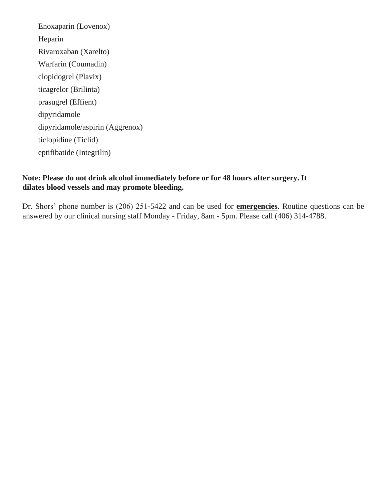Enoxaparin (Lovenox) Heparin Rivaroxaban (Xarelto) Warfarin (Coumadin) clopidogrel (Plavix) ticagrelor (Brilinta) prasugrel (Effient) dipyridamole dipyridamole/aspirin (Aggrenox) ticlopidine (Ticlid) eptifibatide (Integrilin)

## **Note: Please do not drink alcohol immediately before or for 48 hours after surgery. It dilates blood vessels and may promote bleeding.**

Dr. Shors' phone number is (206) 251-5422 and can be used for **emergencies**. Routine questions can be answered by our clinical nursing staff Monday - Friday, 8am - 5pm. Please call (406) 314-4788.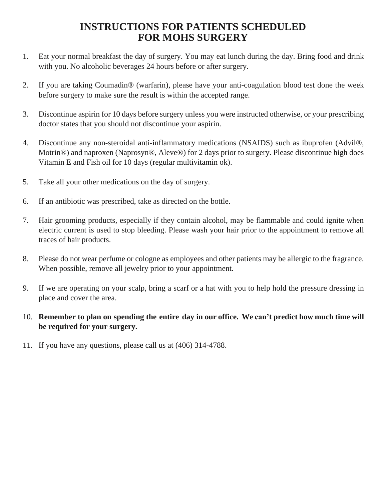# **INSTRUCTIONS FOR PATIENTS SCHEDULED FOR MOHS SURGERY**

- 1. Eat your normal breakfast the day of surgery. You may eat lunch during the day. Bring food and drink with you. No alcoholic beverages 24 hours before or after surgery.
- 2. If you are taking Coumadin® (warfarin), please have your anti-coagulation blood test done the week before surgery to make sure the result is within the accepted range.
- 3. Discontinue aspirin for 10 days before surgery unless you were instructed otherwise, or your prescribing doctor states that you should not discontinue your aspirin.
- 4. Discontinue any non-steroidal anti-inflammatory medications (NSAIDS) such as ibuprofen (Advil®, Motrin®) and naproxen (Naprosyn®, Aleve®) for 2 days prior to surgery. Please discontinue high does Vitamin E and Fish oil for 10 days (regular multivitamin ok).
- 5. Take all your other medications on the day of surgery.
- 6. If an antibiotic was prescribed, take as directed on the bottle.
- 7. Hair grooming products, especially if they contain alcohol, may be flammable and could ignite when electric current is used to stop bleeding. Please wash your hair prior to the appointment to remove all traces of hair products.
- 8. Please do not wear perfume or cologne as employees and other patients may be allergic to the fragrance. When possible, remove all jewelry prior to your appointment.
- 9. If we are operating on your scalp, bring a scarf or a hat with you to help hold the pressure dressing in place and cover the area.
- 10. **Remember to plan on spending the entire day in our office. We can't predict how much time will be required for your surgery.**
- 11. If you have any questions, please call us at (406) 314-4788.